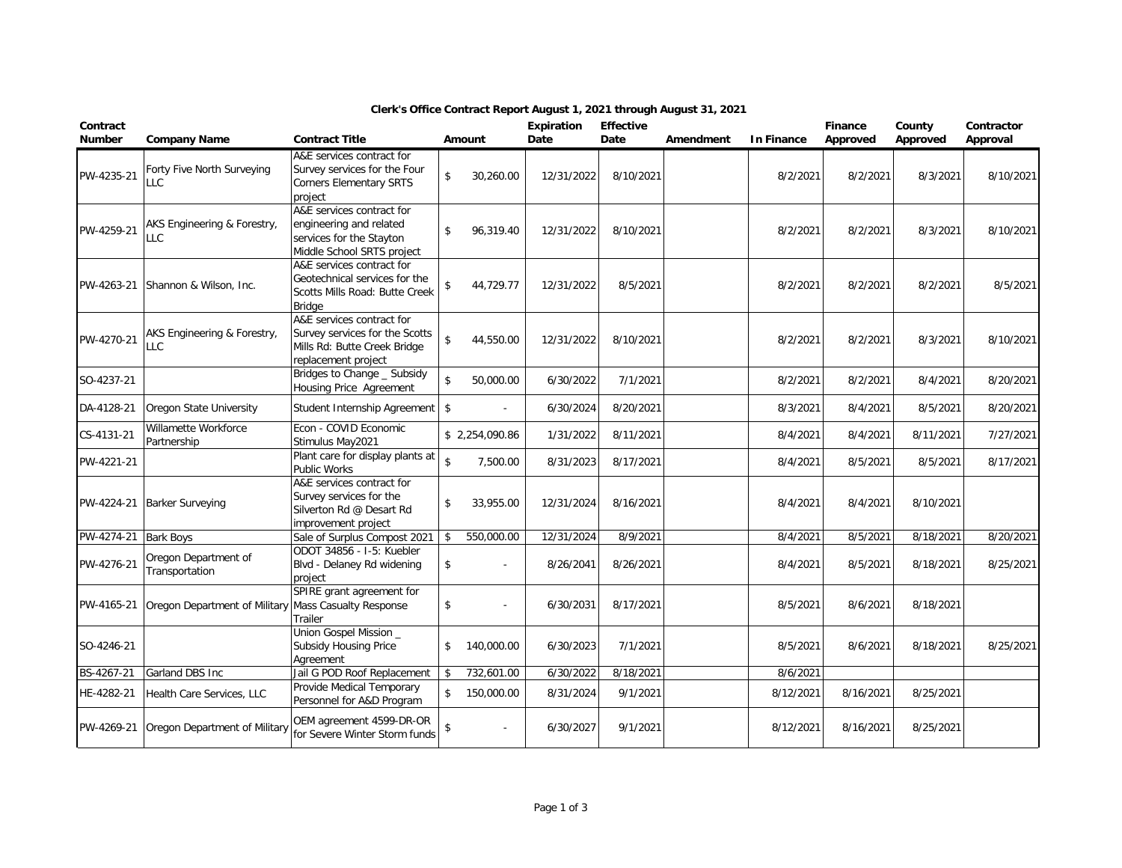| Contract<br><b>Number</b> | <b>Company Name</b>                    | <b>Contract Title</b>                                                                                              |                    | <b>Amount</b>  | <b>Expiration</b><br>Date | <b>Effective</b><br>Date | Amendment | <b>In Finance</b> | <b>Finance</b><br>Approved | County<br>Approved | Contractor<br>Approval |
|---------------------------|----------------------------------------|--------------------------------------------------------------------------------------------------------------------|--------------------|----------------|---------------------------|--------------------------|-----------|-------------------|----------------------------|--------------------|------------------------|
| PW-4235-21                | Forty Five North Surveying<br>LLC      | A&E services contract for<br>Survey services for the Four<br><b>Corners Elementary SRTS</b><br>project             | \$                 | 30,260.00      | 12/31/2022                | 8/10/2021                |           | 8/2/2021          | 8/2/2021                   | 8/3/2021           | 8/10/2021              |
| PW-4259-21                | AKS Engineering & Forestry,<br>LLC     | A&E services contract for<br>engineering and related<br>services for the Stayton<br>Middle School SRTS project     | \$                 | 96,319.40      | 12/31/2022                | 8/10/2021                |           | 8/2/2021          | 8/2/2021                   | 8/3/2021           | 8/10/2021              |
| PW-4263-21                | Shannon & Wilson, Inc.                 | A&E services contract for<br>Geotechnical services for the<br>Scotts Mills Road: Butte Creek<br>Bridge             | \$                 | 44,729.77      | 12/31/2022                | 8/5/2021                 |           | 8/2/2021          | 8/2/2021                   | 8/2/2021           | 8/5/2021               |
| PW-4270-21                | AKS Engineering & Forestry,<br>LLC     | A&E services contract for<br>Survey services for the Scotts<br>Mills Rd: Butte Creek Bridge<br>replacement project | $\mathsf{\$}$      | 44,550.00      | 12/31/2022                | 8/10/2021                |           | 8/2/2021          | 8/2/2021                   | 8/3/2021           | 8/10/2021              |
| SO-4237-21                |                                        | Bridges to Change _ Subsidy<br>Housing Price Agreement                                                             | $\mathbf{\hat{S}}$ | 50,000.00      | 6/30/2022                 | 7/1/2021                 |           | 8/2/2021          | 8/2/2021                   | 8/4/2021           | 8/20/2021              |
| DA-4128-21                | Oregon State University                | Student Internship Agreement                                                                                       | \$                 |                | 6/30/2024                 | 8/20/2021                |           | 8/3/2021          | 8/4/2021                   | 8/5/2021           | 8/20/2021              |
| CS-4131-21                | Willamette Workforce<br>Partnership    | Econ - COVID Economic<br>Stimulus May2021                                                                          |                    | \$2.254.090.86 | 1/31/2022                 | 8/11/2021                |           | 8/4/2021          | 8/4/2021                   | 8/11/2021          | 7/27/2021              |
| PW-4221-21                |                                        | Plant care for display plants at<br><b>Public Works</b>                                                            | $\mathbf{\hat{S}}$ | 7,500.00       | 8/31/2023                 | 8/17/2021                |           | 8/4/2021          | 8/5/2021                   | 8/5/2021           | 8/17/2021              |
| PW-4224-21                | <b>Barker Surveying</b>                | A&E services contract for<br>Survey services for the<br>Silverton Rd @ Desart Rd<br>improvement project            | \$                 | 33,955.00      | 12/31/2024                | 8/16/2021                |           | 8/4/2021          | 8/4/2021                   | 8/10/2021          |                        |
| PW-4274-21                | <b>Bark Boys</b>                       | Sale of Surplus Compost 2021                                                                                       | \$                 | 550,000.00     | 12/31/2024                | 8/9/2021                 |           | 8/4/2021          | 8/5/2021                   | 8/18/2021          | 8/20/2021              |
| PW-4276-21                | Oregon Department of<br>Transportation | ODOT 34856 - I-5: Kuebler<br>Blvd - Delaney Rd widening<br>project                                                 | \$                 |                | 8/26/2041                 | 8/26/2021                |           | 8/4/2021          | 8/5/2021                   | 8/18/2021          | 8/25/2021              |
| PW-4165-21                | Oregon Department of Military          | SPIRE grant agreement for<br><b>Mass Casualty Response</b><br>Trailer                                              | $\mathsf{\$}$      |                | 6/30/2031                 | 8/17/2021                |           | 8/5/2021          | 8/6/2021                   | 8/18/2021          |                        |
| SO-4246-21                |                                        | Union Gospel Mission _<br>Subsidy Housing Price<br>Agreement                                                       | \$                 | 140,000.00     | 6/30/2023                 | 7/1/2021                 |           | 8/5/2021          | 8/6/2021                   | 8/18/2021          | 8/25/2021              |
| BS-4267-21                | Garland DBS Inc                        | Jail G POD Roof Replacement                                                                                        | \$                 | 732,601.00     | 6/30/2022                 | 8/18/2021                |           | 8/6/2021          |                            |                    |                        |
| HE-4282-21                | Health Care Services, LLC              | Provide Medical Temporary<br>Personnel for A&D Program                                                             | \$                 | 150,000.00     | 8/31/2024                 | 9/1/2021                 |           | 8/12/2021         | 8/16/2021                  | 8/25/2021          |                        |
| PW-4269-21                | Oregon Department of Military          | OEM agreement 4599-DR-OR<br>for Severe Winter Storm funds                                                          | \$                 |                | 6/30/2027                 | 9/1/2021                 |           | 8/12/2021         | 8/16/2021                  | 8/25/2021          |                        |

## **Clerk's Office Contract Report August 1, 2021 through August 31, 2021**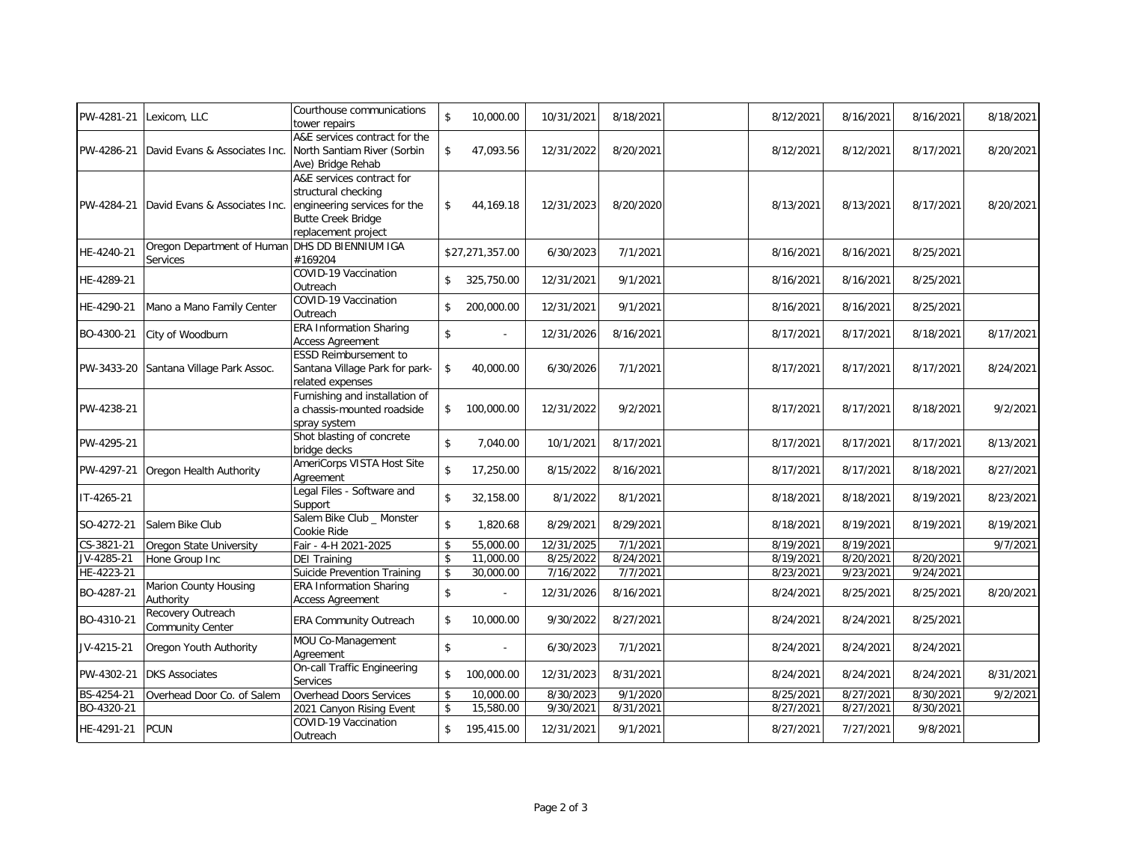| PW-4281-21 | Lexicom, LLC                                               | Courthouse communications<br>tower repairs                                                                                           | \$            | 10,000.00       | 10/31/2021 | 8/18/2021 | 8/12/2021 | 8/16/2021 | 8/16/2021 | 8/18/2021 |
|------------|------------------------------------------------------------|--------------------------------------------------------------------------------------------------------------------------------------|---------------|-----------------|------------|-----------|-----------|-----------|-----------|-----------|
| PW-4286-21 | David Evans & Associates Inc.                              | A&E services contract for the<br>North Santiam River (Sorbin<br>Ave) Bridge Rehab                                                    | \$            | 47,093.56       | 12/31/2022 | 8/20/2021 | 8/12/2021 | 8/12/2021 | 8/17/2021 | 8/20/2021 |
| PW-4284-21 | David Evans & Associates Inc.                              | A&E services contract for<br>structural checking<br>engineering services for the<br><b>Butte Creek Bridge</b><br>replacement project | \$            | 44,169.18       | 12/31/2023 | 8/20/2020 | 8/13/2021 | 8/13/2021 | 8/17/2021 | 8/20/2021 |
| HE-4240-21 | Oregon Department of Human DHS DD BIENNIUM IGA<br>Services | #169204                                                                                                                              |               | \$27,271,357.00 | 6/30/2023  | 7/1/2021  | 8/16/2021 | 8/16/2021 | 8/25/2021 |           |
| HE-4289-21 |                                                            | COVID-19 Vaccination<br>Outreach                                                                                                     | $\mathsf{\$}$ | 325,750.00      | 12/31/2021 | 9/1/2021  | 8/16/2021 | 8/16/2021 | 8/25/2021 |           |
| HE-4290-21 | Mano a Mano Family Center                                  | COVID-19 Vaccination<br>Outreach                                                                                                     | \$            | 200,000.00      | 12/31/2021 | 9/1/2021  | 8/16/2021 | 8/16/2021 | 8/25/2021 |           |
| BO-4300-21 | City of Woodburn                                           | <b>ERA Information Sharing</b><br><b>Access Agreement</b>                                                                            | \$            |                 | 12/31/2026 | 8/16/2021 | 8/17/2021 | 8/17/2021 | 8/18/2021 | 8/17/2021 |
|            | PW-3433-20 Santana Village Park Assoc.                     | <b>ESSD Reimbursement to</b><br>Santana Village Park for park-<br>related expenses                                                   | \$            | 40,000.00       | 6/30/2026  | 7/1/2021  | 8/17/2021 | 8/17/2021 | 8/17/2021 | 8/24/2021 |
| PW-4238-21 |                                                            | Furnishing and installation of<br>a chassis-mounted roadside<br>spray system                                                         | $\frac{1}{2}$ | 100,000.00      | 12/31/2022 | 9/2/2021  | 8/17/2021 | 8/17/2021 | 8/18/2021 | 9/2/2021  |
| PW-4295-21 |                                                            | Shot blasting of concrete<br>bridge decks                                                                                            | \$            | 7,040.00        | 10/1/2021  | 8/17/2021 | 8/17/2021 | 8/17/2021 | 8/17/2021 | 8/13/2021 |
| PW-4297-21 | Oregon Health Authority                                    | AmeriCorps VISTA Host Site<br>Agreement                                                                                              | \$            | 17,250.00       | 8/15/2022  | 8/16/2021 | 8/17/2021 | 8/17/2021 | 8/18/2021 | 8/27/2021 |
| IT-4265-21 |                                                            | Legal Files - Software and<br>Support                                                                                                | \$            | 32,158.00       | 8/1/2022   | 8/1/2021  | 8/18/2021 | 8/18/2021 | 8/19/2021 | 8/23/2021 |
| SO-4272-21 | Salem Bike Club                                            | Salem Bike Club _ Monster<br>Cookie Ride                                                                                             | \$            | 1,820.68        | 8/29/2021  | 8/29/2021 | 8/18/2021 | 8/19/2021 | 8/19/2021 | 8/19/2021 |
| CS-3821-21 | Oregon State University                                    | Fair - 4-H 2021-2025                                                                                                                 | \$            | 55,000.00       | 12/31/2025 | 7/1/2021  | 8/19/2021 | 8/19/2021 |           | 9/7/2021  |
| JV-4285-21 | Hone Group Inc                                             | <b>DEI Training</b>                                                                                                                  | \$            | 11,000.00       | 8/25/2022  | 8/24/2021 | 8/19/2021 | 8/20/2021 | 8/20/2021 |           |
| HE-4223-21 |                                                            | Suicide Prevention Training                                                                                                          | \$            | 30,000.00       | 7/16/2022  | 7/7/2021  | 8/23/2021 | 9/23/2021 | 9/24/2021 |           |
| BO-4287-21 | Marion County Housing<br>Authority                         | <b>ERA Information Sharing</b><br><b>Access Agreement</b>                                                                            | \$            |                 | 12/31/2026 | 8/16/2021 | 8/24/2021 | 8/25/2021 | 8/25/2021 | 8/20/2021 |
| BO-4310-21 | Recovery Outreach<br><b>Community Center</b>               | <b>ERA Community Outreach</b>                                                                                                        | \$            | 10,000.00       | 9/30/2022  | 8/27/2021 | 8/24/2021 | 8/24/2021 | 8/25/2021 |           |
| JV-4215-21 | Oregon Youth Authority                                     | MOU Co-Management<br>Agreement                                                                                                       | \$            |                 | 6/30/2023  | 7/1/2021  | 8/24/2021 | 8/24/2021 | 8/24/2021 |           |
| PW-4302-21 | <b>DKS Associates</b>                                      | On-call Traffic Engineering<br>Services                                                                                              | \$            | 100,000.00      | 12/31/2023 | 8/31/2021 | 8/24/2021 | 8/24/2021 | 8/24/2021 | 8/31/2021 |
| BS-4254-21 | Overhead Door Co. of Salem                                 | Overhead Doors Services                                                                                                              | \$            | 10,000.00       | 8/30/2023  | 9/1/2020  | 8/25/2021 | 8/27/2021 | 8/30/2021 | 9/2/2021  |
| BO-4320-21 |                                                            | 2021 Canyon Rising Event                                                                                                             | \$            | 15,580.00       | 9/30/2021  | 8/31/2021 | 8/27/2021 | 8/27/2021 | 8/30/2021 |           |
| HE-4291-21 | PCUN                                                       | COVID-19 Vaccination<br>Outreach                                                                                                     | \$            | 195,415.00      | 12/31/2021 | 9/1/2021  | 8/27/2021 | 7/27/2021 | 9/8/2021  |           |